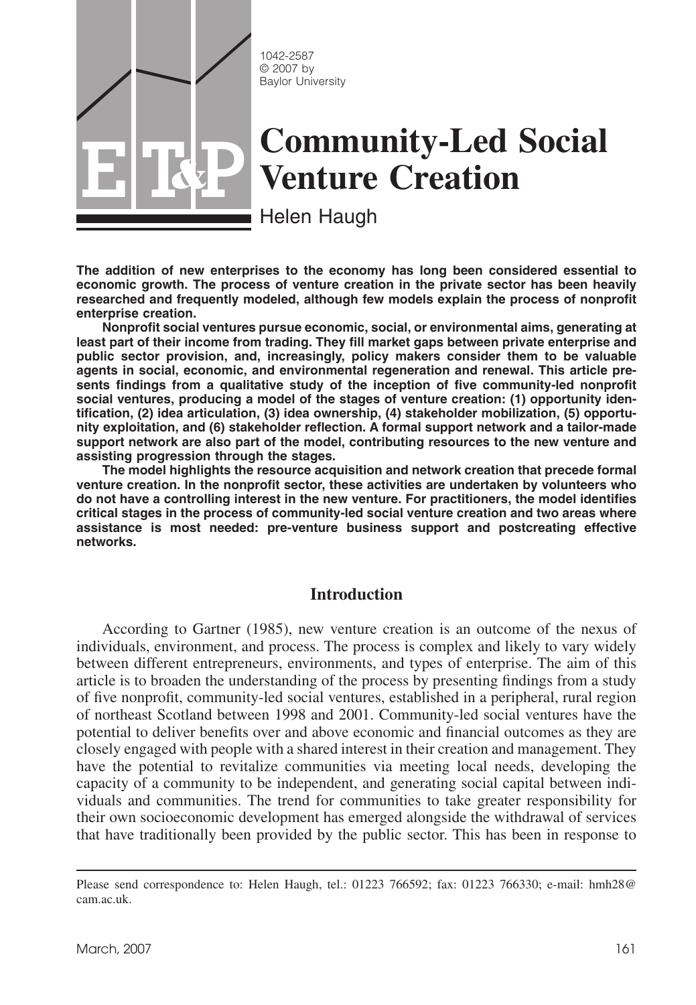

**The addition of new enterprises to the economy has long been considered essential to economic growth. The process of venture creation in the private sector has been heavily researched and frequently modeled, although few models explain the process of nonprofit enterprise creation.**

**Nonprofit social ventures pursue economic, social, or environmental aims, generating at least part of their income from trading. They fill market gaps between private enterprise and public sector provision, and, increasingly, policy makers consider them to be valuable agents in social, economic, and environmental regeneration and renewal. This article presents findings from a qualitative study of the inception of five community-led nonprofit social ventures, producing a model of the stages of venture creation: (1) opportunity identification, (2) idea articulation, (3) idea ownership, (4) stakeholder mobilization, (5) opportunity exploitation, and (6) stakeholder reflection. A formal support network and a tailor-made support network are also part of the model, contributing resources to the new venture and assisting progression through the stages.**

**The model highlights the resource acquisition and network creation that precede formal venture creation. In the nonprofit sector, these activities are undertaken by volunteers who do not have a controlling interest in the new venture. For practitioners, the model identifies critical stages in the process of community-led social venture creation and two areas where assistance is most needed: pre-venture business support and postcreating effective networks.**

### **Introduction**

According to Gartner (1985), new venture creation is an outcome of the nexus of individuals, environment, and process. The process is complex and likely to vary widely between different entrepreneurs, environments, and types of enterprise. The aim of this article is to broaden the understanding of the process by presenting findings from a study of five nonprofit, community-led social ventures, established in a peripheral, rural region of northeast Scotland between 1998 and 2001. Community-led social ventures have the potential to deliver benefits over and above economic and financial outcomes as they are closely engaged with people with a shared interest in their creation and management. They have the potential to revitalize communities via meeting local needs, developing the capacity of a community to be independent, and generating social capital between individuals and communities. The trend for communities to take greater responsibility for their own socioeconomic development has emerged alongside the withdrawal of services that have traditionally been provided by the public sector. This has been in response to

Please send correspondence to: Helen Haugh, tel.: 01223 766592; fax: 01223 766330; e-mail: hmh28@ cam.ac.uk.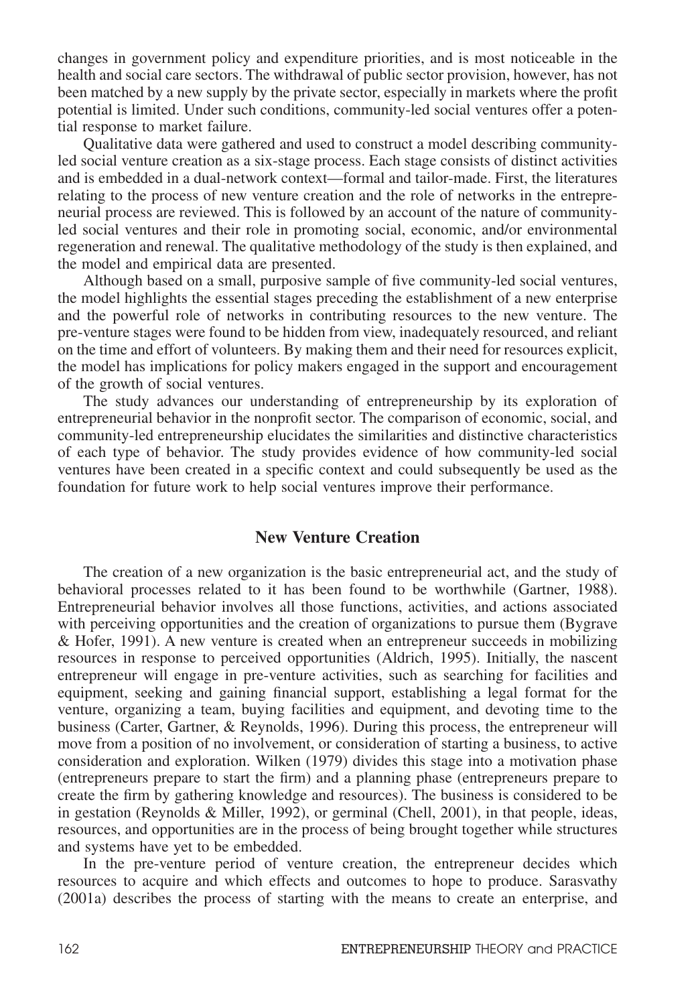changes in government policy and expenditure priorities, and is most noticeable in the health and social care sectors. The withdrawal of public sector provision, however, has not been matched by a new supply by the private sector, especially in markets where the profit potential is limited. Under such conditions, community-led social ventures offer a potential response to market failure.

Qualitative data were gathered and used to construct a model describing communityled social venture creation as a six-stage process. Each stage consists of distinct activities and is embedded in a dual-network context—formal and tailor-made. First, the literatures relating to the process of new venture creation and the role of networks in the entrepreneurial process are reviewed. This is followed by an account of the nature of communityled social ventures and their role in promoting social, economic, and/or environmental regeneration and renewal. The qualitative methodology of the study is then explained, and the model and empirical data are presented.

Although based on a small, purposive sample of five community-led social ventures, the model highlights the essential stages preceding the establishment of a new enterprise and the powerful role of networks in contributing resources to the new venture. The pre-venture stages were found to be hidden from view, inadequately resourced, and reliant on the time and effort of volunteers. By making them and their need for resources explicit, the model has implications for policy makers engaged in the support and encouragement of the growth of social ventures.

The study advances our understanding of entrepreneurship by its exploration of entrepreneurial behavior in the nonprofit sector. The comparison of economic, social, and community-led entrepreneurship elucidates the similarities and distinctive characteristics of each type of behavior. The study provides evidence of how community-led social ventures have been created in a specific context and could subsequently be used as the foundation for future work to help social ventures improve their performance.

### **New Venture Creation**

The creation of a new organization is the basic entrepreneurial act, and the study of behavioral processes related to it has been found to be worthwhile (Gartner, 1988). Entrepreneurial behavior involves all those functions, activities, and actions associated with perceiving opportunities and the creation of organizations to pursue them (Bygrave & Hofer, 1991). A new venture is created when an entrepreneur succeeds in mobilizing resources in response to perceived opportunities (Aldrich, 1995). Initially, the nascent entrepreneur will engage in pre-venture activities, such as searching for facilities and equipment, seeking and gaining financial support, establishing a legal format for the venture, organizing a team, buying facilities and equipment, and devoting time to the business (Carter, Gartner, & Reynolds, 1996). During this process, the entrepreneur will move from a position of no involvement, or consideration of starting a business, to active consideration and exploration. Wilken (1979) divides this stage into a motivation phase (entrepreneurs prepare to start the firm) and a planning phase (entrepreneurs prepare to create the firm by gathering knowledge and resources). The business is considered to be in gestation (Reynolds & Miller, 1992), or germinal (Chell, 2001), in that people, ideas, resources, and opportunities are in the process of being brought together while structures and systems have yet to be embedded.

In the pre-venture period of venture creation, the entrepreneur decides which resources to acquire and which effects and outcomes to hope to produce. Sarasvathy (2001a) describes the process of starting with the means to create an enterprise, and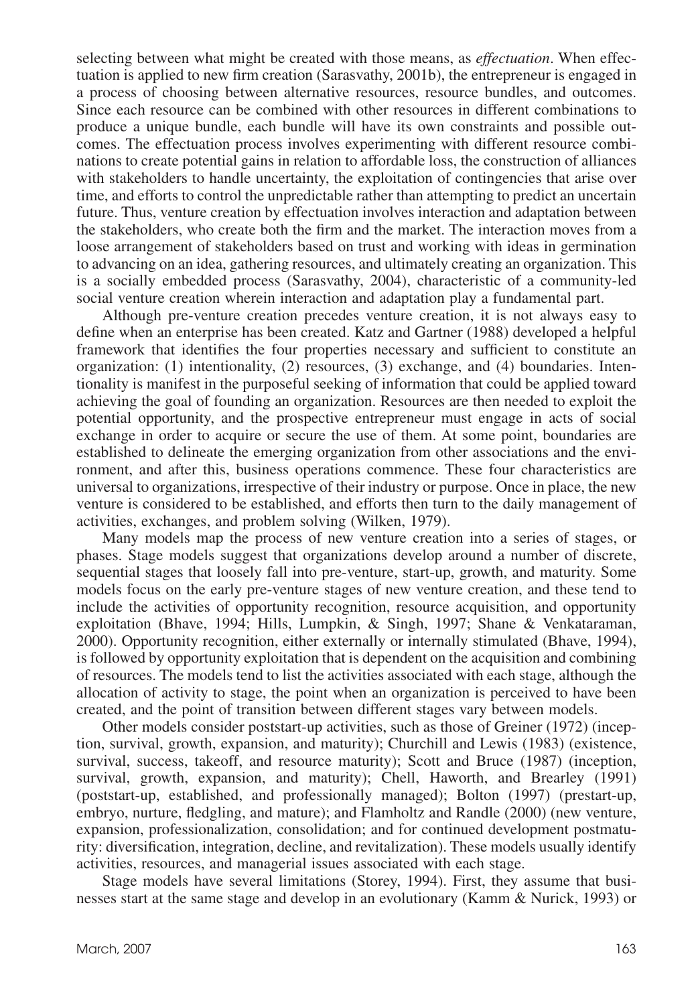selecting between what might be created with those means, as *effectuation*. When effectuation is applied to new firm creation (Sarasvathy, 2001b), the entrepreneur is engaged in a process of choosing between alternative resources, resource bundles, and outcomes. Since each resource can be combined with other resources in different combinations to produce a unique bundle, each bundle will have its own constraints and possible outcomes. The effectuation process involves experimenting with different resource combinations to create potential gains in relation to affordable loss, the construction of alliances with stakeholders to handle uncertainty, the exploitation of contingencies that arise over time, and efforts to control the unpredictable rather than attempting to predict an uncertain future. Thus, venture creation by effectuation involves interaction and adaptation between the stakeholders, who create both the firm and the market. The interaction moves from a loose arrangement of stakeholders based on trust and working with ideas in germination to advancing on an idea, gathering resources, and ultimately creating an organization. This is a socially embedded process (Sarasvathy, 2004), characteristic of a community-led social venture creation wherein interaction and adaptation play a fundamental part.

Although pre-venture creation precedes venture creation, it is not always easy to define when an enterprise has been created. Katz and Gartner (1988) developed a helpful framework that identifies the four properties necessary and sufficient to constitute an organization: (1) intentionality, (2) resources, (3) exchange, and (4) boundaries. Intentionality is manifest in the purposeful seeking of information that could be applied toward achieving the goal of founding an organization. Resources are then needed to exploit the potential opportunity, and the prospective entrepreneur must engage in acts of social exchange in order to acquire or secure the use of them. At some point, boundaries are established to delineate the emerging organization from other associations and the environment, and after this, business operations commence. These four characteristics are universal to organizations, irrespective of their industry or purpose. Once in place, the new venture is considered to be established, and efforts then turn to the daily management of activities, exchanges, and problem solving (Wilken, 1979).

Many models map the process of new venture creation into a series of stages, or phases. Stage models suggest that organizations develop around a number of discrete, sequential stages that loosely fall into pre-venture, start-up, growth, and maturity. Some models focus on the early pre-venture stages of new venture creation, and these tend to include the activities of opportunity recognition, resource acquisition, and opportunity exploitation (Bhave, 1994; Hills, Lumpkin, & Singh, 1997; Shane & Venkataraman, 2000). Opportunity recognition, either externally or internally stimulated (Bhave, 1994), is followed by opportunity exploitation that is dependent on the acquisition and combining of resources. The models tend to list the activities associated with each stage, although the allocation of activity to stage, the point when an organization is perceived to have been created, and the point of transition between different stages vary between models.

Other models consider poststart-up activities, such as those of Greiner (1972) (inception, survival, growth, expansion, and maturity); Churchill and Lewis (1983) (existence, survival, success, takeoff, and resource maturity); Scott and Bruce (1987) (inception, survival, growth, expansion, and maturity); Chell, Haworth, and Brearley (1991) (poststart-up, established, and professionally managed); Bolton (1997) (prestart-up, embryo, nurture, fledgling, and mature); and Flamholtz and Randle (2000) (new venture, expansion, professionalization, consolidation; and for continued development postmaturity: diversification, integration, decline, and revitalization). These models usually identify activities, resources, and managerial issues associated with each stage.

Stage models have several limitations (Storey, 1994). First, they assume that businesses start at the same stage and develop in an evolutionary (Kamm & Nurick, 1993) or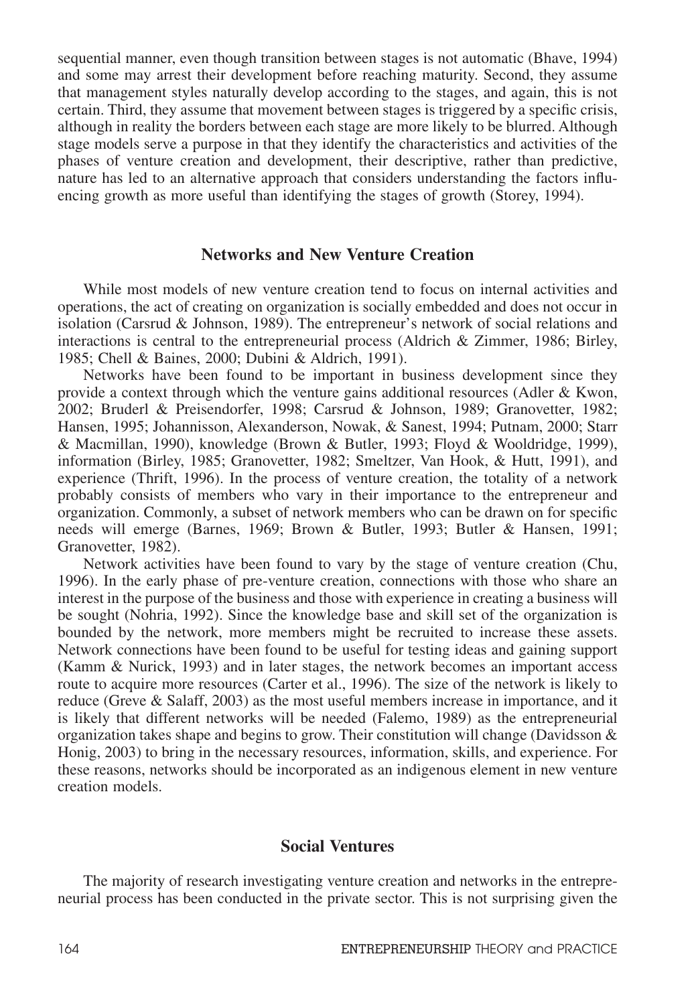sequential manner, even though transition between stages is not automatic (Bhave, 1994) and some may arrest their development before reaching maturity. Second, they assume that management styles naturally develop according to the stages, and again, this is not certain. Third, they assume that movement between stages is triggered by a specific crisis, although in reality the borders between each stage are more likely to be blurred. Although stage models serve a purpose in that they identify the characteristics and activities of the phases of venture creation and development, their descriptive, rather than predictive, nature has led to an alternative approach that considers understanding the factors influencing growth as more useful than identifying the stages of growth (Storey, 1994).

### **Networks and New Venture Creation**

While most models of new venture creation tend to focus on internal activities and operations, the act of creating on organization is socially embedded and does not occur in isolation (Carsrud & Johnson, 1989). The entrepreneur's network of social relations and interactions is central to the entrepreneurial process (Aldrich & Zimmer, 1986; Birley, 1985; Chell & Baines, 2000; Dubini & Aldrich, 1991).

Networks have been found to be important in business development since they provide a context through which the venture gains additional resources (Adler & Kwon, 2002; Bruderl & Preisendorfer, 1998; Carsrud & Johnson, 1989; Granovetter, 1982; Hansen, 1995; Johannisson, Alexanderson, Nowak, & Sanest, 1994; Putnam, 2000; Starr & Macmillan, 1990), knowledge (Brown & Butler, 1993; Floyd & Wooldridge, 1999), information (Birley, 1985; Granovetter, 1982; Smeltzer, Van Hook, & Hutt, 1991), and experience (Thrift, 1996). In the process of venture creation, the totality of a network probably consists of members who vary in their importance to the entrepreneur and organization. Commonly, a subset of network members who can be drawn on for specific needs will emerge (Barnes, 1969; Brown & Butler, 1993; Butler & Hansen, 1991; Granovetter, 1982).

Network activities have been found to vary by the stage of venture creation (Chu, 1996). In the early phase of pre-venture creation, connections with those who share an interest in the purpose of the business and those with experience in creating a business will be sought (Nohria, 1992). Since the knowledge base and skill set of the organization is bounded by the network, more members might be recruited to increase these assets. Network connections have been found to be useful for testing ideas and gaining support (Kamm & Nurick, 1993) and in later stages, the network becomes an important access route to acquire more resources (Carter et al., 1996). The size of the network is likely to reduce (Greve & Salaff, 2003) as the most useful members increase in importance, and it is likely that different networks will be needed (Falemo, 1989) as the entrepreneurial organization takes shape and begins to grow. Their constitution will change (Davidsson  $\&$ Honig, 2003) to bring in the necessary resources, information, skills, and experience. For these reasons, networks should be incorporated as an indigenous element in new venture creation models.

### **Social Ventures**

The majority of research investigating venture creation and networks in the entrepreneurial process has been conducted in the private sector. This is not surprising given the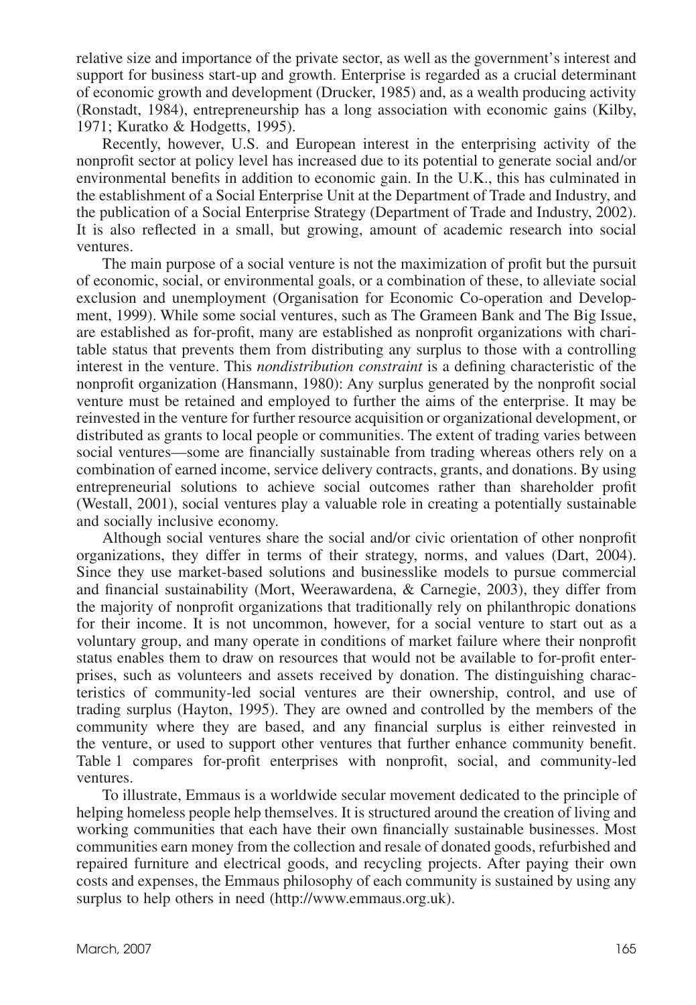relative size and importance of the private sector, as well as the government's interest and support for business start-up and growth. Enterprise is regarded as a crucial determinant of economic growth and development (Drucker, 1985) and, as a wealth producing activity (Ronstadt, 1984), entrepreneurship has a long association with economic gains (Kilby, 1971; Kuratko & Hodgetts, 1995).

Recently, however, U.S. and European interest in the enterprising activity of the nonprofit sector at policy level has increased due to its potential to generate social and/or environmental benefits in addition to economic gain. In the U.K., this has culminated in the establishment of a Social Enterprise Unit at the Department of Trade and Industry, and the publication of a Social Enterprise Strategy (Department of Trade and Industry, 2002). It is also reflected in a small, but growing, amount of academic research into social ventures.

The main purpose of a social venture is not the maximization of profit but the pursuit of economic, social, or environmental goals, or a combination of these, to alleviate social exclusion and unemployment (Organisation for Economic Co-operation and Development, 1999). While some social ventures, such as The Grameen Bank and The Big Issue, are established as for-profit, many are established as nonprofit organizations with charitable status that prevents them from distributing any surplus to those with a controlling interest in the venture. This *nondistribution constraint* is a defining characteristic of the nonprofit organization (Hansmann, 1980): Any surplus generated by the nonprofit social venture must be retained and employed to further the aims of the enterprise. It may be reinvested in the venture for further resource acquisition or organizational development, or distributed as grants to local people or communities. The extent of trading varies between social ventures—some are financially sustainable from trading whereas others rely on a combination of earned income, service delivery contracts, grants, and donations. By using entrepreneurial solutions to achieve social outcomes rather than shareholder profit (Westall, 2001), social ventures play a valuable role in creating a potentially sustainable and socially inclusive economy.

Although social ventures share the social and/or civic orientation of other nonprofit organizations, they differ in terms of their strategy, norms, and values (Dart, 2004). Since they use market-based solutions and businesslike models to pursue commercial and financial sustainability (Mort, Weerawardena, & Carnegie, 2003), they differ from the majority of nonprofit organizations that traditionally rely on philanthropic donations for their income. It is not uncommon, however, for a social venture to start out as a voluntary group, and many operate in conditions of market failure where their nonprofit status enables them to draw on resources that would not be available to for-profit enterprises, such as volunteers and assets received by donation. The distinguishing characteristics of community-led social ventures are their ownership, control, and use of trading surplus (Hayton, 1995). They are owned and controlled by the members of the community where they are based, and any financial surplus is either reinvested in the venture, or used to support other ventures that further enhance community benefit. Table 1 compares for-profit enterprises with nonprofit, social, and community-led ventures.

To illustrate, Emmaus is a worldwide secular movement dedicated to the principle of helping homeless people help themselves. It is structured around the creation of living and working communities that each have their own financially sustainable businesses. Most communities earn money from the collection and resale of donated goods, refurbished and repaired furniture and electrical goods, and recycling projects. After paying their own costs and expenses, the Emmaus philosophy of each community is sustained by using any surplus to help others in need [\(http://www.emmaus.org.uk](http://www.emmaus.org.uk)).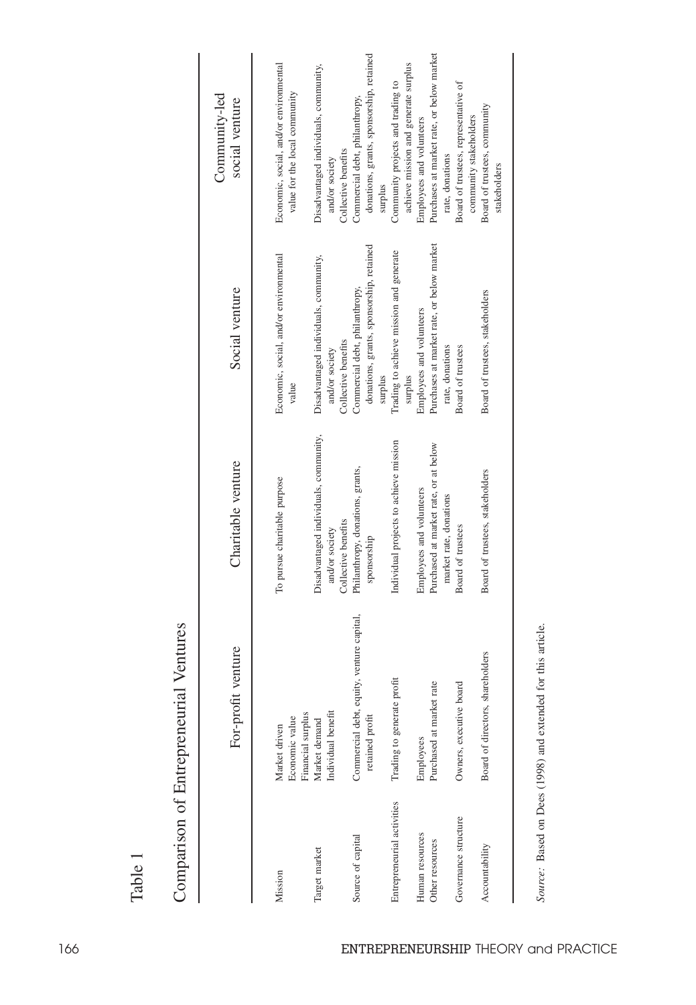| 1. |  |
|----|--|
|    |  |
| ∍  |  |
|    |  |

## Comparison of Entrepreneurial Ventures Comparison of Entrepreneurial Ventures

|                            | venture<br>For-profit                                        | Charitable venture                              | Social venture                                                             | Community-led<br>social venture                                            |
|----------------------------|--------------------------------------------------------------|-------------------------------------------------|----------------------------------------------------------------------------|----------------------------------------------------------------------------|
| Mission                    | Market driven                                                | To pursue charitable purpose                    | Economic, social, and/or environmental                                     | Economic, social, and/or environmental                                     |
| Target market              | Financial surplus<br>Economic value<br>Market demand         | Disadvantaged individuals, community,           | Disadvantaged individuals, community,<br>value                             | Disadvantaged individuals, community,<br>value for the local community     |
|                            | individual benefit                                           | Collective benefits<br>and/or society           | Collective benefits<br>and/or society                                      | Collective benefits<br>and/or society                                      |
| Source of capital          | Commercial debt, equity, venture capital,<br>retained profit | Philanthropy, donations, grants,<br>sponsorship | donations, grants, sponsorship, retained<br>Commercial debt, philanthropy, | donations, grants, sponsorship, retained<br>Commercial debt, philanthropy, |
|                            |                                                              |                                                 | surplus                                                                    | surplus                                                                    |
| Entrepreneurial activities | Trading to generate profit                                   | Individual projects to achieve mission          | Trading to achieve mission and generate<br>surplus                         | achieve mission and generate surplus<br>Community projects and trading to  |
| Human resources            | Employees                                                    | Employees and volunteers                        | Employees and volunteers                                                   | Employees and volunteers                                                   |
| Other resources            | Purchased at market rate                                     | Purchased at market rate, or at below           | Purchases at market rate, or below market                                  | Purchases at market rate, or below market                                  |
|                            |                                                              | market rate, donations                          | rate, donations                                                            | rate, donations                                                            |
| Governance structure       | Owners, executive board                                      | Board of trustees                               | Board of trustees                                                          | Board of trustees, representative of<br>community stakeholders             |
| Accountability             | Board of directors, shareholders                             | Board of trustees, stakeholders                 | Board of trustees, stakeholders                                            | Board of trustees, community                                               |
|                            |                                                              |                                                 |                                                                            | stakeholders                                                               |
|                            |                                                              |                                                 |                                                                            |                                                                            |

Source: Based on Dees (1998) and extended for this article. *Source:* Based on Dees (1998) and extended for this article.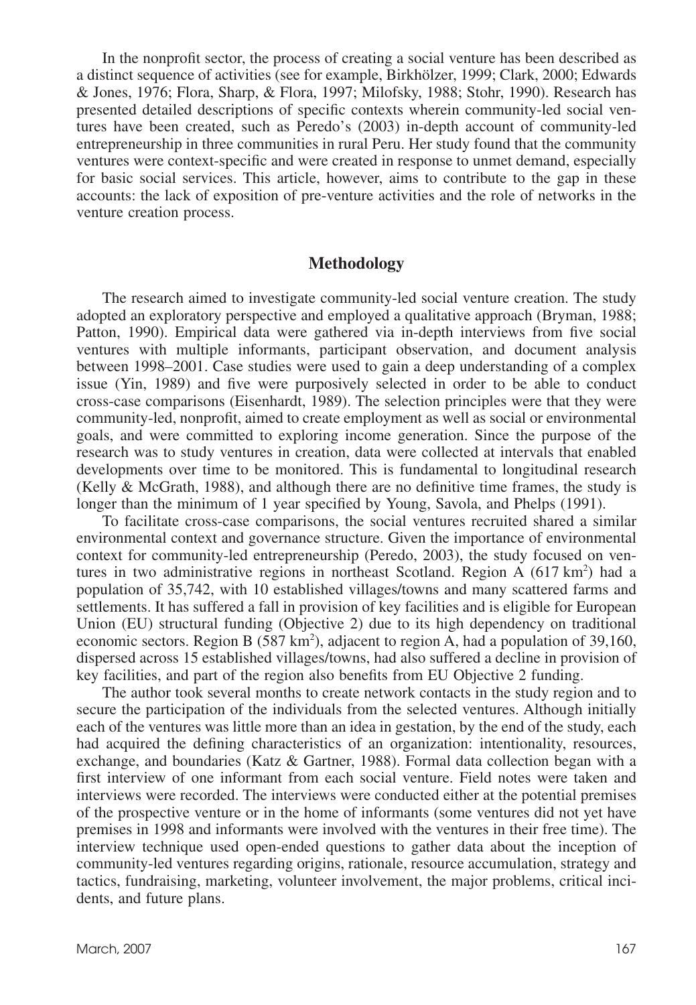In the nonprofit sector, the process of creating a social venture has been described as a distinct sequence of activities (see for example, Birkhölzer, 1999; Clark, 2000; Edwards & Jones, 1976; Flora, Sharp, & Flora, 1997; Milofsky, 1988; Stohr, 1990). Research has presented detailed descriptions of specific contexts wherein community-led social ventures have been created, such as Peredo's (2003) in-depth account of community-led entrepreneurship in three communities in rural Peru. Her study found that the community ventures were context-specific and were created in response to unmet demand, especially for basic social services. This article, however, aims to contribute to the gap in these accounts: the lack of exposition of pre-venture activities and the role of networks in the venture creation process.

### **Methodology**

The research aimed to investigate community-led social venture creation. The study adopted an exploratory perspective and employed a qualitative approach (Bryman, 1988; Patton, 1990). Empirical data were gathered via in-depth interviews from five social ventures with multiple informants, participant observation, and document analysis between 1998–2001. Case studies were used to gain a deep understanding of a complex issue (Yin, 1989) and five were purposively selected in order to be able to conduct cross-case comparisons (Eisenhardt, 1989). The selection principles were that they were community-led, nonprofit, aimed to create employment as well as social or environmental goals, and were committed to exploring income generation. Since the purpose of the research was to study ventures in creation, data were collected at intervals that enabled developments over time to be monitored. This is fundamental to longitudinal research (Kelly & McGrath, 1988), and although there are no definitive time frames, the study is longer than the minimum of 1 year specified by Young, Savola, and Phelps (1991).

To facilitate cross-case comparisons, the social ventures recruited shared a similar environmental context and governance structure. Given the importance of environmental context for community-led entrepreneurship (Peredo, 2003), the study focused on ventures in two administrative regions in northeast Scotland. Region A  $(617 \text{ km}^2)$  had a population of 35,742, with 10 established villages/towns and many scattered farms and settlements. It has suffered a fall in provision of key facilities and is eligible for European Union (EU) structural funding (Objective 2) due to its high dependency on traditional economic sectors. Region B  $(587 \text{ km}^2)$ , adjacent to region A, had a population of 39,160, dispersed across 15 established villages/towns, had also suffered a decline in provision of key facilities, and part of the region also benefits from EU Objective 2 funding.

The author took several months to create network contacts in the study region and to secure the participation of the individuals from the selected ventures. Although initially each of the ventures was little more than an idea in gestation, by the end of the study, each had acquired the defining characteristics of an organization: intentionality, resources, exchange, and boundaries (Katz & Gartner, 1988). Formal data collection began with a first interview of one informant from each social venture. Field notes were taken and interviews were recorded. The interviews were conducted either at the potential premises of the prospective venture or in the home of informants (some ventures did not yet have premises in 1998 and informants were involved with the ventures in their free time). The interview technique used open-ended questions to gather data about the inception of community-led ventures regarding origins, rationale, resource accumulation, strategy and tactics, fundraising, marketing, volunteer involvement, the major problems, critical incidents, and future plans.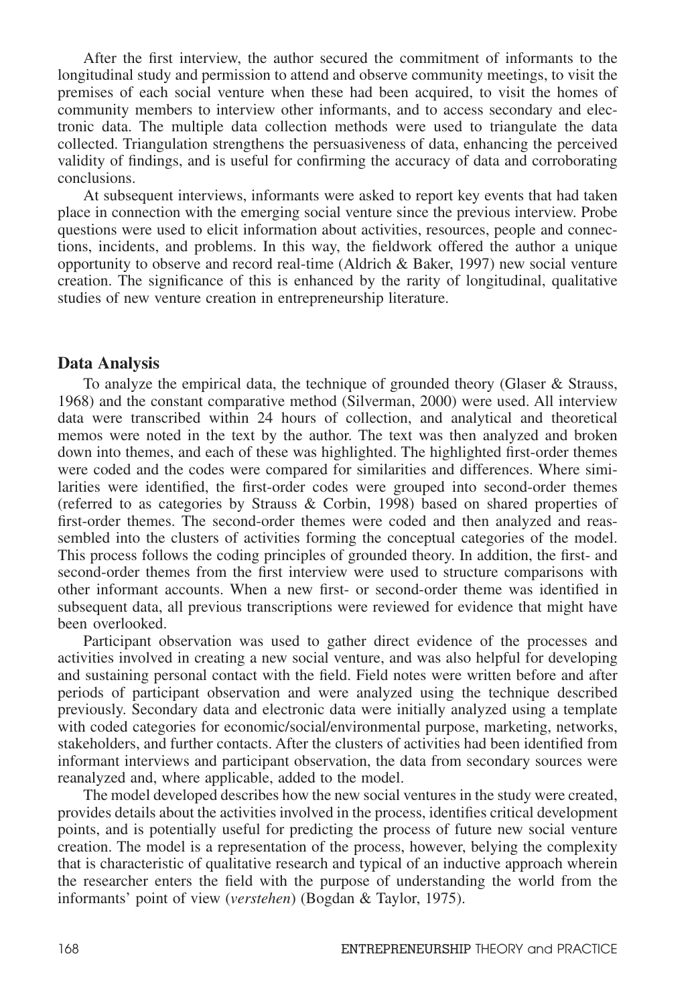After the first interview, the author secured the commitment of informants to the longitudinal study and permission to attend and observe community meetings, to visit the premises of each social venture when these had been acquired, to visit the homes of community members to interview other informants, and to access secondary and electronic data. The multiple data collection methods were used to triangulate the data collected. Triangulation strengthens the persuasiveness of data, enhancing the perceived validity of findings, and is useful for confirming the accuracy of data and corroborating conclusions.

At subsequent interviews, informants were asked to report key events that had taken place in connection with the emerging social venture since the previous interview. Probe questions were used to elicit information about activities, resources, people and connections, incidents, and problems. In this way, the fieldwork offered the author a unique opportunity to observe and record real-time (Aldrich & Baker, 1997) new social venture creation. The significance of this is enhanced by the rarity of longitudinal, qualitative studies of new venture creation in entrepreneurship literature.

### **Data Analysis**

To analyze the empirical data, the technique of grounded theory (Glaser & Strauss, 1968) and the constant comparative method (Silverman, 2000) were used. All interview data were transcribed within 24 hours of collection, and analytical and theoretical memos were noted in the text by the author. The text was then analyzed and broken down into themes, and each of these was highlighted. The highlighted first-order themes were coded and the codes were compared for similarities and differences. Where similarities were identified, the first-order codes were grouped into second-order themes (referred to as categories by Strauss & Corbin, 1998) based on shared properties of first-order themes. The second-order themes were coded and then analyzed and reassembled into the clusters of activities forming the conceptual categories of the model. This process follows the coding principles of grounded theory. In addition, the first- and second-order themes from the first interview were used to structure comparisons with other informant accounts. When a new first- or second-order theme was identified in subsequent data, all previous transcriptions were reviewed for evidence that might have been overlooked.

Participant observation was used to gather direct evidence of the processes and activities involved in creating a new social venture, and was also helpful for developing and sustaining personal contact with the field. Field notes were written before and after periods of participant observation and were analyzed using the technique described previously. Secondary data and electronic data were initially analyzed using a template with coded categories for economic/social/environmental purpose, marketing, networks, stakeholders, and further contacts. After the clusters of activities had been identified from informant interviews and participant observation, the data from secondary sources were reanalyzed and, where applicable, added to the model.

The model developed describes how the new social ventures in the study were created, provides details about the activities involved in the process, identifies critical development points, and is potentially useful for predicting the process of future new social venture creation. The model is a representation of the process, however, belying the complexity that is characteristic of qualitative research and typical of an inductive approach wherein the researcher enters the field with the purpose of understanding the world from the informants' point of view (*verstehen*) (Bogdan & Taylor, 1975).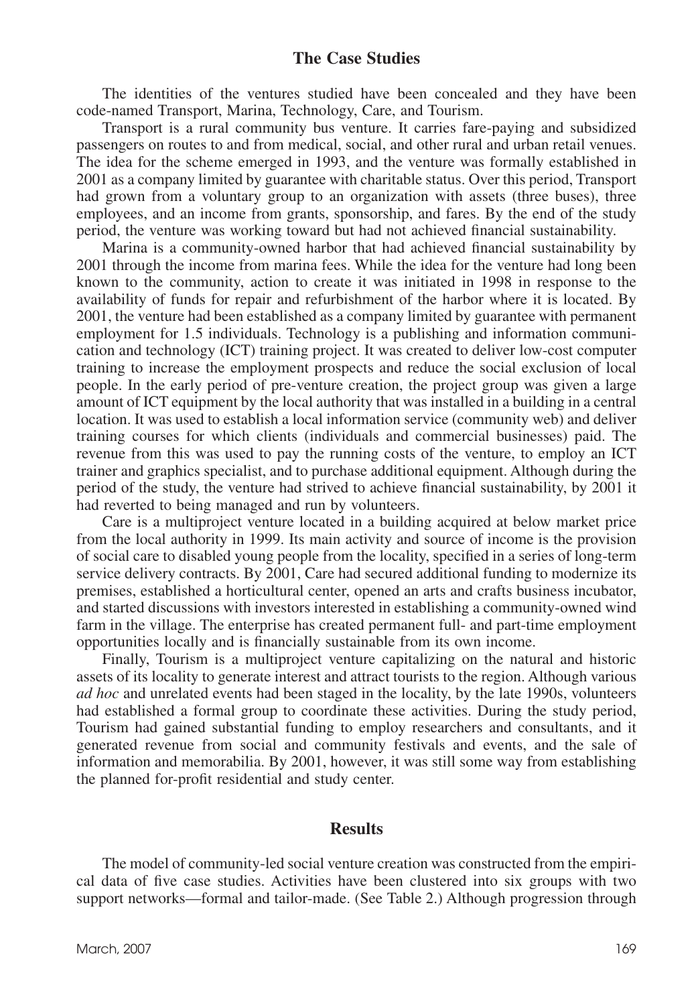The identities of the ventures studied have been concealed and they have been code-named Transport, Marina, Technology, Care, and Tourism.

Transport is a rural community bus venture. It carries fare-paying and subsidized passengers on routes to and from medical, social, and other rural and urban retail venues. The idea for the scheme emerged in 1993, and the venture was formally established in 2001 as a company limited by guarantee with charitable status. Over this period, Transport had grown from a voluntary group to an organization with assets (three buses), three employees, and an income from grants, sponsorship, and fares. By the end of the study period, the venture was working toward but had not achieved financial sustainability.

Marina is a community-owned harbor that had achieved financial sustainability by 2001 through the income from marina fees. While the idea for the venture had long been known to the community, action to create it was initiated in 1998 in response to the availability of funds for repair and refurbishment of the harbor where it is located. By 2001, the venture had been established as a company limited by guarantee with permanent employment for 1.5 individuals. Technology is a publishing and information communication and technology (ICT) training project. It was created to deliver low-cost computer training to increase the employment prospects and reduce the social exclusion of local people. In the early period of pre-venture creation, the project group was given a large amount of ICT equipment by the local authority that was installed in a building in a central location. It was used to establish a local information service (community web) and deliver training courses for which clients (individuals and commercial businesses) paid. The revenue from this was used to pay the running costs of the venture, to employ an ICT trainer and graphics specialist, and to purchase additional equipment. Although during the period of the study, the venture had strived to achieve financial sustainability, by 2001 it had reverted to being managed and run by volunteers.

Care is a multiproject venture located in a building acquired at below market price from the local authority in 1999. Its main activity and source of income is the provision of social care to disabled young people from the locality, specified in a series of long-term service delivery contracts. By 2001, Care had secured additional funding to modernize its premises, established a horticultural center, opened an arts and crafts business incubator, and started discussions with investors interested in establishing a community-owned wind farm in the village. The enterprise has created permanent full- and part-time employment opportunities locally and is financially sustainable from its own income.

Finally, Tourism is a multiproject venture capitalizing on the natural and historic assets of its locality to generate interest and attract tourists to the region. Although various *ad hoc* and unrelated events had been staged in the locality, by the late 1990s, volunteers had established a formal group to coordinate these activities. During the study period, Tourism had gained substantial funding to employ researchers and consultants, and it generated revenue from social and community festivals and events, and the sale of information and memorabilia. By 2001, however, it was still some way from establishing the planned for-profit residential and study center.

### **Results**

The model of community-led social venture creation was constructed from the empirical data of five case studies. Activities have been clustered into six groups with two support networks—formal and tailor-made. (See Table 2.) Although progression through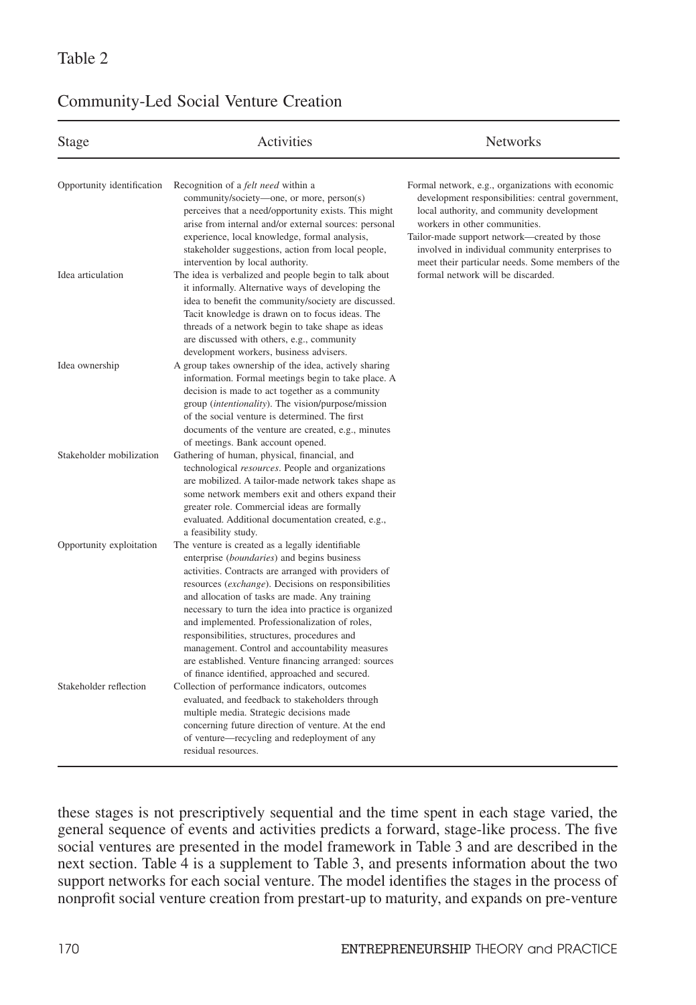|--|--|

| <b>Community-Led Social Venture Creation</b> |  |  |  |  |
|----------------------------------------------|--|--|--|--|
|----------------------------------------------|--|--|--|--|

| Stage                      | Activities                                                                                                                                                                                                                                                                                                                                                                                                                                                                                                                                      | <b>Networks</b>                                                                                                                                                                                                                                                                                                                              |
|----------------------------|-------------------------------------------------------------------------------------------------------------------------------------------------------------------------------------------------------------------------------------------------------------------------------------------------------------------------------------------------------------------------------------------------------------------------------------------------------------------------------------------------------------------------------------------------|----------------------------------------------------------------------------------------------------------------------------------------------------------------------------------------------------------------------------------------------------------------------------------------------------------------------------------------------|
| Opportunity identification | Recognition of a <i>felt need</i> within a<br>community/society—one, or more, person(s)<br>perceives that a need/opportunity exists. This might<br>arise from internal and/or external sources: personal<br>experience, local knowledge, formal analysis,<br>stakeholder suggestions, action from local people,<br>intervention by local authority.                                                                                                                                                                                             | Formal network, e.g., organizations with economic<br>development responsibilities: central government,<br>local authority, and community development<br>workers in other communities.<br>Tailor-made support network—created by those<br>involved in individual community enterprises to<br>meet their particular needs. Some members of the |
| Idea articulation          | The idea is verbalized and people begin to talk about<br>it informally. Alternative ways of developing the<br>idea to benefit the community/society are discussed.<br>Tacit knowledge is drawn on to focus ideas. The<br>threads of a network begin to take shape as ideas<br>are discussed with others, e.g., community<br>development workers, business advisers.                                                                                                                                                                             | formal network will be discarded.                                                                                                                                                                                                                                                                                                            |
| Idea ownership             | A group takes ownership of the idea, actively sharing<br>information. Formal meetings begin to take place. A<br>decision is made to act together as a community<br>group (intentionality). The vision/purpose/mission<br>of the social venture is determined. The first<br>documents of the venture are created, e.g., minutes<br>of meetings. Bank account opened.                                                                                                                                                                             |                                                                                                                                                                                                                                                                                                                                              |
| Stakeholder mobilization   | Gathering of human, physical, financial, and<br>technological <i>resources</i> . People and organizations<br>are mobilized. A tailor-made network takes shape as<br>some network members exit and others expand their<br>greater role. Commercial ideas are formally<br>evaluated. Additional documentation created, e.g.,<br>a feasibility study.                                                                                                                                                                                              |                                                                                                                                                                                                                                                                                                                                              |
| Opportunity exploitation   | The venture is created as a legally identifiable<br>enterprise ( <i>boundaries</i> ) and begins business<br>activities. Contracts are arranged with providers of<br>resources (exchange). Decisions on responsibilities<br>and allocation of tasks are made. Any training<br>necessary to turn the idea into practice is organized<br>and implemented. Professionalization of roles,<br>responsibilities, structures, procedures and<br>management. Control and accountability measures<br>are established. Venture financing arranged: sources |                                                                                                                                                                                                                                                                                                                                              |
| Stakeholder reflection     | of finance identified, approached and secured.<br>Collection of performance indicators, outcomes<br>evaluated, and feedback to stakeholders through<br>multiple media. Strategic decisions made<br>concerning future direction of venture. At the end<br>of venture—recycling and redeployment of any<br>residual resources.                                                                                                                                                                                                                    |                                                                                                                                                                                                                                                                                                                                              |

these stages is not prescriptively sequential and the time spent in each stage varied, the general sequence of events and activities predicts a forward, stage-like process. The five social ventures are presented in the model framework in Table 3 and are described in the next section. Table 4 is a supplement to Table 3, and presents information about the two support networks for each social venture. The model identifies the stages in the process of nonprofit social venture creation from prestart-up to maturity, and expands on pre-venture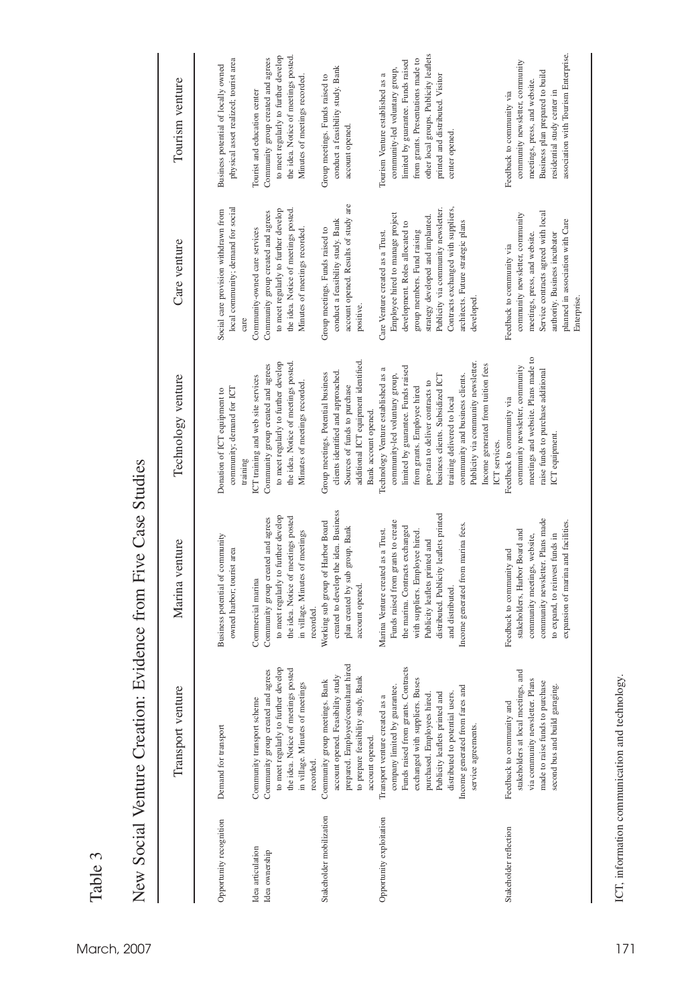| ٢  |  |
|----|--|
| 1. |  |
| ீ  |  |
| ľ  |  |
|    |  |

# New Social Venture Creation: Evidence from Five Case Studies New Social Venture Creation: Evidence from Five Case Studies

|                                     | Transport venture                                                                                                                                                                                                                                                                                       | Marina venture                                                                                                                                                                                                                                                                        | Technology venture                                                                                                                                                                                                                                                                                                                                                                 | Care venture                                                                                                                                                                                                                                                                                                 | Tourism venture                                                                                                                                                                                                                               |
|-------------------------------------|---------------------------------------------------------------------------------------------------------------------------------------------------------------------------------------------------------------------------------------------------------------------------------------------------------|---------------------------------------------------------------------------------------------------------------------------------------------------------------------------------------------------------------------------------------------------------------------------------------|------------------------------------------------------------------------------------------------------------------------------------------------------------------------------------------------------------------------------------------------------------------------------------------------------------------------------------------------------------------------------------|--------------------------------------------------------------------------------------------------------------------------------------------------------------------------------------------------------------------------------------------------------------------------------------------------------------|-----------------------------------------------------------------------------------------------------------------------------------------------------------------------------------------------------------------------------------------------|
| Opportunity recognition             | Demand for transport                                                                                                                                                                                                                                                                                    | Business potential of community<br>owned harbor; tourist area                                                                                                                                                                                                                         | community; demand for ICT<br>Donation of ICT equipment to<br>training                                                                                                                                                                                                                                                                                                              | local community; demand for social<br>Social care provision withdrawn from                                                                                                                                                                                                                                   | physical asset realized; tourist area<br>Business potential of locally owned                                                                                                                                                                  |
| Idea articulation<br>Idea ownership | to meet regularly to further develop<br>the idea. Notice of meetings posted<br>agrees<br>in village. Minutes of meetings<br>Community group created and<br>Community transport scheme<br>recorded.                                                                                                      | to meet regularly to further develop<br>the idea. Notice of meetings posted<br>Community group created and agrees<br>in village. Minutes of meetings<br>Commercial marina<br>recorded                                                                                                 | the idea. Notice of meetings posted.<br>to meet regularly to further develop<br>Community group created and agrees<br>CT training and web site services<br>Minutes of meetings recorded                                                                                                                                                                                            | to meet regularly to further develop<br>the idea. Notice of meetings posted<br>Community group created and agrees<br>Community-owned care services<br>Minutes of meetings recorded.                                                                                                                          | to meet regularly to further develop<br>the idea. Notice of meetings posted<br>Community group created and agrees<br>Minutes of meetings recorded.<br>Tourist and education center                                                            |
| Stakeholder mobilization            | prepared. Employee/consultant hired<br>account opened. Feasibility study<br>to prepare feasibility study. Bank<br>Community group meetings. Bank<br>account opened.                                                                                                                                     | created to develop the idea. Business<br>Working sub group of Harbor Board<br>plan created by sub group. Bank<br>account opened.                                                                                                                                                      | additional ICT equipment identified.<br>clients identified and approached.<br>Group meetings. Potential business<br>Sources of funds to purchase<br>Bank account opened.                                                                                                                                                                                                           | account opened. Results of study are<br>conduct a feasibility study. Bank<br>Group meetings. Funds raised to<br>positive                                                                                                                                                                                     | conduct a feasibility study. Bank<br>Group meetings. Funds raised to<br>account opened                                                                                                                                                        |
| Opportunity exploitation            | Funds raised from grants. Contracts<br>exchanged with suppliers. Buses<br>company limited by guarantee.<br>Income generated from fares and<br>purchased. Employees hired.<br>Publicity leaflets printed and<br>distributed to potential users.<br>Transport venture created as a<br>service agreements. | distributed. Publicity leaflets printed<br>Funds raised from grants to create<br>Income generated from marina fees.<br>the marina. Contracts exchanged<br>Marina Venture created as a Trust.<br>with suppliers. Employee hired.<br>Publicity leaflets printed and<br>and distributed. | Publicity via community newsletter.<br>Income generated from tuition fees<br>limited by guarantee. Funds raised<br>Technology Venture established as a<br>community-led voluntary group,<br>community and business clients.<br>business clients. Subsidized ICT<br>pro-rata to deliver contracts to<br>from grants. Employee hired<br>training delivered to local<br>ICT services. | Publicity via community newsletter.<br>Contracts exchanged with suppliers,<br>Employee hired to manage project<br>strategy developed and implanted.<br>architects. Future strategic plans<br>development. Roles allocated to<br>group members. Fund raising<br>Care Venture created as a Trust.<br>developed | other local groups. Publicity leaflets<br>from grants. Presentations made to<br>limited by guarantee. Funds raised<br>community-led voluntary group,<br>Tourism Venture established as a<br>printed and distributed. Visitor<br>center opened |
| Stakeholder reflection              | stakeholders at local meetings, and<br>via community newsletter. Plans<br>made to raise funds to purchase<br>second bus and build garaging.<br>Feedback to community and                                                                                                                                | community newsletter. Plans made<br>expansion of marina and facilities.<br>stakeholders, Harbor Board and<br>community meetings, website,<br>to expand, to reinvest funds in<br>Feedback to community and                                                                             | meetings and website. Plans made to<br>community newsletter, community<br>raise funds to purchase additional<br>Feedback to community via<br>ICT equipment.                                                                                                                                                                                                                        | Service contracts agreed with local<br>community newsletter, community<br>planned in association with Care<br>meetings, press, and website.<br>authority. Business incubator<br>Feedback to community via<br>Enterprise                                                                                      | association with Tourism Enterprise.<br>community newsletter, community<br>Business plan prepared to build<br>meetings, press, and website.<br>residential study center in<br>Feedback to community via                                       |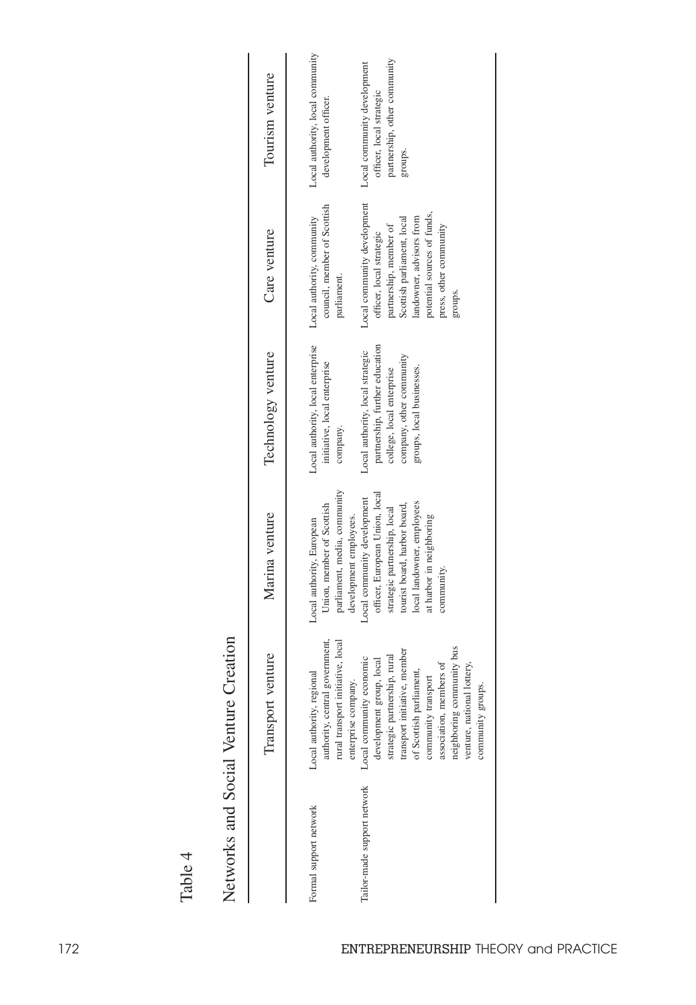Table 4

### Networks and Social Venture Creation Networks and Social Venture Creation

|                             | Transport venture                                                                                                                                                                                                                                                                 | Marina venture                                                                                                                                                                                        | Technology venture                                                                                                                                       | Care venture                                                                                                                                                                                                    | Tourism venture                                                                                    |
|-----------------------------|-----------------------------------------------------------------------------------------------------------------------------------------------------------------------------------------------------------------------------------------------------------------------------------|-------------------------------------------------------------------------------------------------------------------------------------------------------------------------------------------------------|----------------------------------------------------------------------------------------------------------------------------------------------------------|-----------------------------------------------------------------------------------------------------------------------------------------------------------------------------------------------------------------|----------------------------------------------------------------------------------------------------|
| Formal support network      | rural transport initiative, local<br>authority, central government,<br>Local authority, regional<br>enterprise company.                                                                                                                                                           | parliament, media, community<br>Union, member of Scottish<br>development employees.<br>Local authority, European                                                                                      | Local authority, local enterprise<br>initiative, local enterprise<br>company.                                                                            | council, member of Scottish<br>Local authority, community<br>parliament.                                                                                                                                        | Local authority, local community<br>development officer.                                           |
| Tailor-made support network | neighboring community bus<br>transport initiative, member<br>strategic partnership, rural<br>Local community economic<br>development group, local<br>association, members of<br>venture, national lottery,<br>of Scottish parliament,<br>community transport<br>community groups. | officer, European Union, local<br>Local community development<br>local landowner, employees<br>tourist board, harbor board,<br>strategic partnership, local<br>at harbor in neighboring<br>community. | partnership, further education<br>Local authority, local strategic<br>company, other community<br>groups, local businesses.<br>college, local enterprise | Local community development<br>potential sources of funds,<br>Scottish parliament, local<br>landowner, advisors from<br>partnership, member of<br>press, other community<br>officer, local strategic<br>groups. | partnership, other community<br>Local community development<br>officer, local strategic<br>groups. |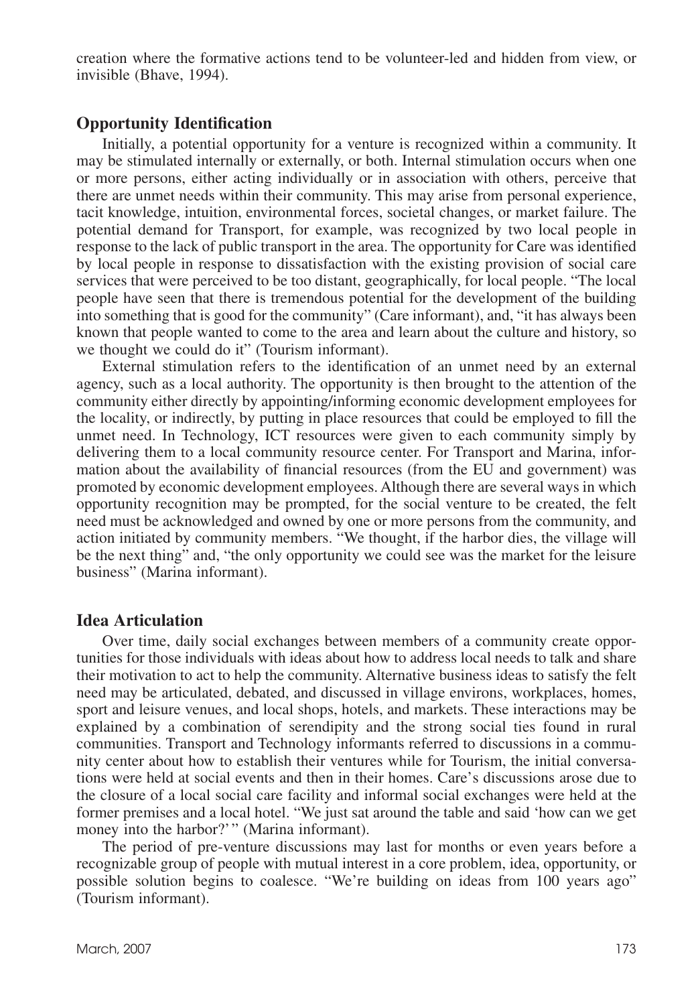creation where the formative actions tend to be volunteer-led and hidden from view, or invisible (Bhave, 1994).

### **Opportunity Identification**

Initially, a potential opportunity for a venture is recognized within a community. It may be stimulated internally or externally, or both. Internal stimulation occurs when one or more persons, either acting individually or in association with others, perceive that there are unmet needs within their community. This may arise from personal experience, tacit knowledge, intuition, environmental forces, societal changes, or market failure. The potential demand for Transport, for example, was recognized by two local people in response to the lack of public transport in the area. The opportunity for Care was identified by local people in response to dissatisfaction with the existing provision of social care services that were perceived to be too distant, geographically, for local people. "The local people have seen that there is tremendous potential for the development of the building into something that is good for the community" (Care informant), and, "it has always been known that people wanted to come to the area and learn about the culture and history, so we thought we could do it" (Tourism informant).

External stimulation refers to the identification of an unmet need by an external agency, such as a local authority. The opportunity is then brought to the attention of the community either directly by appointing/informing economic development employees for the locality, or indirectly, by putting in place resources that could be employed to fill the unmet need. In Technology, ICT resources were given to each community simply by delivering them to a local community resource center. For Transport and Marina, information about the availability of financial resources (from the EU and government) was promoted by economic development employees. Although there are several ways in which opportunity recognition may be prompted, for the social venture to be created, the felt need must be acknowledged and owned by one or more persons from the community, and action initiated by community members. "We thought, if the harbor dies, the village will be the next thing" and, "the only opportunity we could see was the market for the leisure business" (Marina informant).

### **Idea Articulation**

Over time, daily social exchanges between members of a community create opportunities for those individuals with ideas about how to address local needs to talk and share their motivation to act to help the community. Alternative business ideas to satisfy the felt need may be articulated, debated, and discussed in village environs, workplaces, homes, sport and leisure venues, and local shops, hotels, and markets. These interactions may be explained by a combination of serendipity and the strong social ties found in rural communities. Transport and Technology informants referred to discussions in a community center about how to establish their ventures while for Tourism, the initial conversations were held at social events and then in their homes. Care's discussions arose due to the closure of a local social care facility and informal social exchanges were held at the former premises and a local hotel. "We just sat around the table and said 'how can we get money into the harbor?'" (Marina informant).

The period of pre-venture discussions may last for months or even years before a recognizable group of people with mutual interest in a core problem, idea, opportunity, or possible solution begins to coalesce. "We're building on ideas from 100 years ago" (Tourism informant).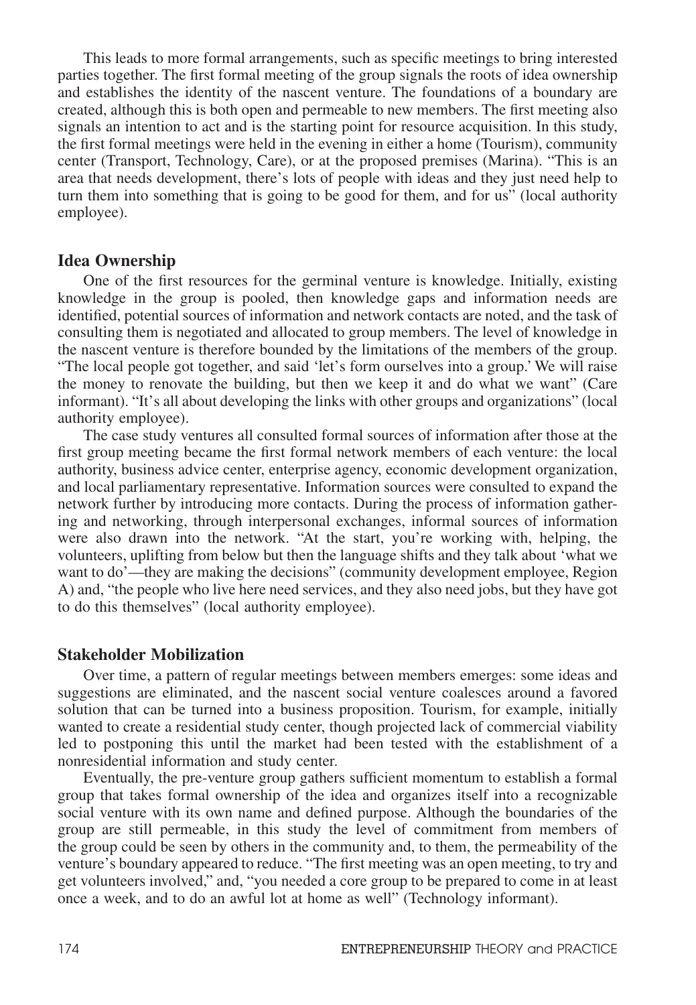This leads to more formal arrangements, such as specific meetings to bring interested parties together. The first formal meeting of the group signals the roots of idea ownership and establishes the identity of the nascent venture. The foundations of a boundary are created, although this is both open and permeable to new members. The first meeting also signals an intention to act and is the starting point for resource acquisition. In this study, the first formal meetings were held in the evening in either a home (Tourism), community center (Transport, Technology, Care), or at the proposed premises (Marina). "This is an area that needs development, there's lots of people with ideas and they just need help to turn them into something that is going to be good for them, and for us" (local authority employee).

### **Idea Ownership**

One of the first resources for the germinal venture is knowledge. Initially, existing knowledge in the group is pooled, then knowledge gaps and information needs are identified, potential sources of information and network contacts are noted, and the task of consulting them is negotiated and allocated to group members. The level of knowledge in the nascent venture is therefore bounded by the limitations of the members of the group. "The local people got together, and said 'let's form ourselves into a group.' We will raise the money to renovate the building, but then we keep it and do what we want" (Care informant). "It's all about developing the links with other groups and organizations" (local authority employee).

The case study ventures all consulted formal sources of information after those at the first group meeting became the first formal network members of each venture: the local authority, business advice center, enterprise agency, economic development organization, and local parliamentary representative. Information sources were consulted to expand the network further by introducing more contacts. During the process of information gathering and networking, through interpersonal exchanges, informal sources of information were also drawn into the network. "At the start, you're working with, helping, the volunteers, uplifting from below but then the language shifts and they talk about 'what we want to do'—they are making the decisions" (community development employee, Region A) and, "the people who live here need services, and they also need jobs, but they have got to do this themselves" (local authority employee).

### **Stakeholder Mobilization**

Over time, a pattern of regular meetings between members emerges: some ideas and suggestions are eliminated, and the nascent social venture coalesces around a favored solution that can be turned into a business proposition. Tourism, for example, initially wanted to create a residential study center, though projected lack of commercial viability led to postponing this until the market had been tested with the establishment of a nonresidential information and study center.

Eventually, the pre-venture group gathers sufficient momentum to establish a formal group that takes formal ownership of the idea and organizes itself into a recognizable social venture with its own name and defined purpose. Although the boundaries of the group are still permeable, in this study the level of commitment from members of the group could be seen by others in the community and, to them, the permeability of the venture's boundary appeared to reduce. "The first meeting was an open meeting, to try and get volunteers involved," and, "you needed a core group to be prepared to come in at least once a week, and to do an awful lot at home as well" (Technology informant).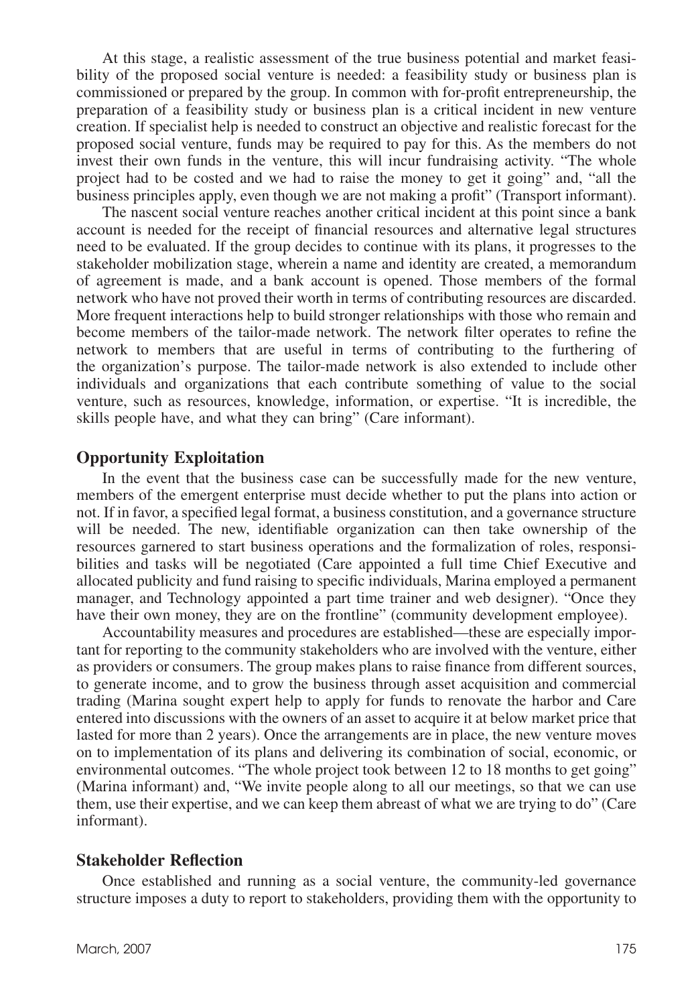At this stage, a realistic assessment of the true business potential and market feasibility of the proposed social venture is needed: a feasibility study or business plan is commissioned or prepared by the group. In common with for-profit entrepreneurship, the preparation of a feasibility study or business plan is a critical incident in new venture creation. If specialist help is needed to construct an objective and realistic forecast for the proposed social venture, funds may be required to pay for this. As the members do not invest their own funds in the venture, this will incur fundraising activity. "The whole project had to be costed and we had to raise the money to get it going" and, "all the business principles apply, even though we are not making a profit" (Transport informant).

The nascent social venture reaches another critical incident at this point since a bank account is needed for the receipt of financial resources and alternative legal structures need to be evaluated. If the group decides to continue with its plans, it progresses to the stakeholder mobilization stage, wherein a name and identity are created, a memorandum of agreement is made, and a bank account is opened. Those members of the formal network who have not proved their worth in terms of contributing resources are discarded. More frequent interactions help to build stronger relationships with those who remain and become members of the tailor-made network. The network filter operates to refine the network to members that are useful in terms of contributing to the furthering of the organization's purpose. The tailor-made network is also extended to include other individuals and organizations that each contribute something of value to the social venture, such as resources, knowledge, information, or expertise. "It is incredible, the skills people have, and what they can bring" (Care informant).

### **Opportunity Exploitation**

In the event that the business case can be successfully made for the new venture, members of the emergent enterprise must decide whether to put the plans into action or not. If in favor, a specified legal format, a business constitution, and a governance structure will be needed. The new, identifiable organization can then take ownership of the resources garnered to start business operations and the formalization of roles, responsibilities and tasks will be negotiated (Care appointed a full time Chief Executive and allocated publicity and fund raising to specific individuals, Marina employed a permanent manager, and Technology appointed a part time trainer and web designer). "Once they have their own money, they are on the frontline" (community development employee).

Accountability measures and procedures are established—these are especially important for reporting to the community stakeholders who are involved with the venture, either as providers or consumers. The group makes plans to raise finance from different sources, to generate income, and to grow the business through asset acquisition and commercial trading (Marina sought expert help to apply for funds to renovate the harbor and Care entered into discussions with the owners of an asset to acquire it at below market price that lasted for more than 2 years). Once the arrangements are in place, the new venture moves on to implementation of its plans and delivering its combination of social, economic, or environmental outcomes. "The whole project took between 12 to 18 months to get going" (Marina informant) and, "We invite people along to all our meetings, so that we can use them, use their expertise, and we can keep them abreast of what we are trying to do" (Care informant).

### **Stakeholder Reflection**

Once established and running as a social venture, the community-led governance structure imposes a duty to report to stakeholders, providing them with the opportunity to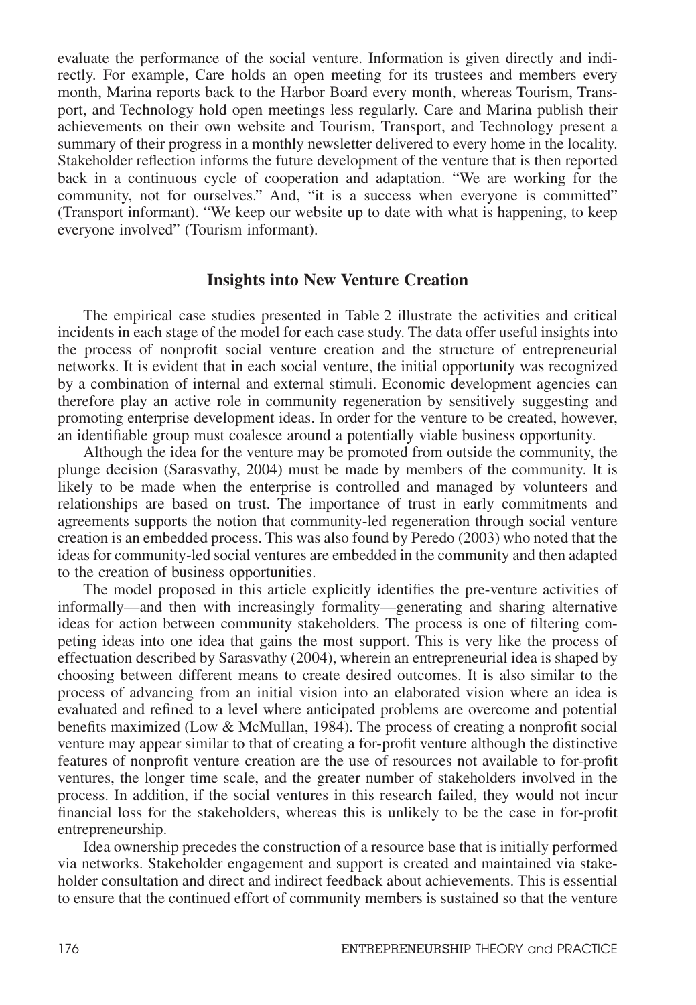evaluate the performance of the social venture. Information is given directly and indirectly. For example, Care holds an open meeting for its trustees and members every month, Marina reports back to the Harbor Board every month, whereas Tourism, Transport, and Technology hold open meetings less regularly. Care and Marina publish their achievements on their own website and Tourism, Transport, and Technology present a summary of their progress in a monthly newsletter delivered to every home in the locality. Stakeholder reflection informs the future development of the venture that is then reported back in a continuous cycle of cooperation and adaptation. "We are working for the community, not for ourselves." And, "it is a success when everyone is committed" (Transport informant). "We keep our website up to date with what is happening, to keep everyone involved" (Tourism informant).

### **Insights into New Venture Creation**

The empirical case studies presented in Table 2 illustrate the activities and critical incidents in each stage of the model for each case study. The data offer useful insights into the process of nonprofit social venture creation and the structure of entrepreneurial networks. It is evident that in each social venture, the initial opportunity was recognized by a combination of internal and external stimuli. Economic development agencies can therefore play an active role in community regeneration by sensitively suggesting and promoting enterprise development ideas. In order for the venture to be created, however, an identifiable group must coalesce around a potentially viable business opportunity.

Although the idea for the venture may be promoted from outside the community, the plunge decision (Sarasvathy, 2004) must be made by members of the community. It is likely to be made when the enterprise is controlled and managed by volunteers and relationships are based on trust. The importance of trust in early commitments and agreements supports the notion that community-led regeneration through social venture creation is an embedded process. This was also found by Peredo (2003) who noted that the ideas for community-led social ventures are embedded in the community and then adapted to the creation of business opportunities.

The model proposed in this article explicitly identifies the pre-venture activities of informally—and then with increasingly formality—generating and sharing alternative ideas for action between community stakeholders. The process is one of filtering competing ideas into one idea that gains the most support. This is very like the process of effectuation described by Sarasvathy (2004), wherein an entrepreneurial idea is shaped by choosing between different means to create desired outcomes. It is also similar to the process of advancing from an initial vision into an elaborated vision where an idea is evaluated and refined to a level where anticipated problems are overcome and potential benefits maximized (Low & McMullan, 1984). The process of creating a nonprofit social venture may appear similar to that of creating a for-profit venture although the distinctive features of nonprofit venture creation are the use of resources not available to for-profit ventures, the longer time scale, and the greater number of stakeholders involved in the process. In addition, if the social ventures in this research failed, they would not incur financial loss for the stakeholders, whereas this is unlikely to be the case in for-profit entrepreneurship.

Idea ownership precedes the construction of a resource base that is initially performed via networks. Stakeholder engagement and support is created and maintained via stakeholder consultation and direct and indirect feedback about achievements. This is essential to ensure that the continued effort of community members is sustained so that the venture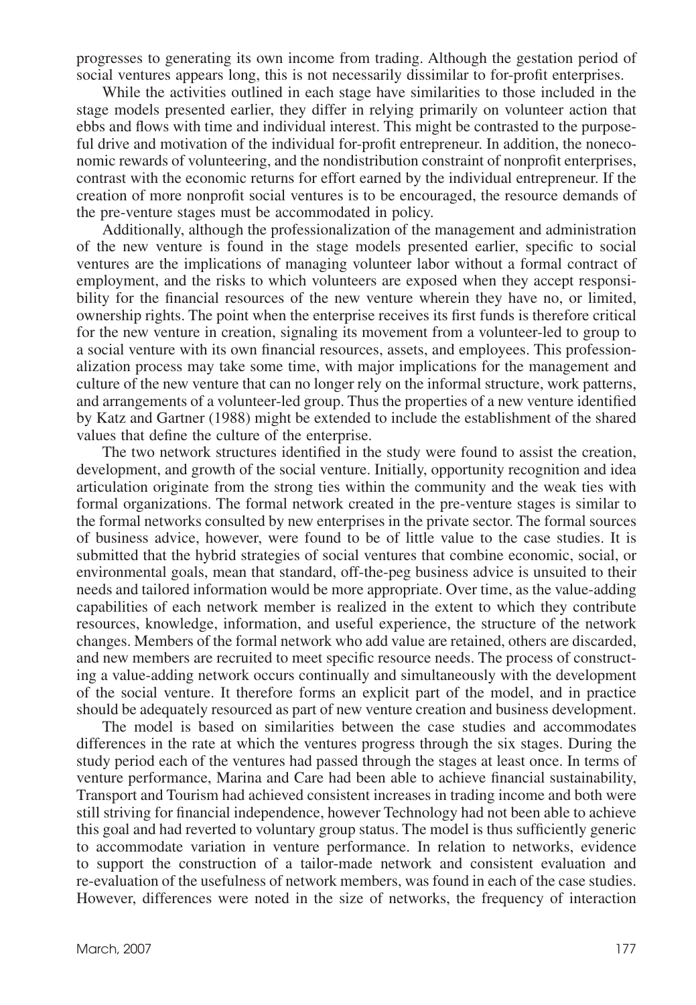progresses to generating its own income from trading. Although the gestation period of social ventures appears long, this is not necessarily dissimilar to for-profit enterprises.

While the activities outlined in each stage have similarities to those included in the stage models presented earlier, they differ in relying primarily on volunteer action that ebbs and flows with time and individual interest. This might be contrasted to the purposeful drive and motivation of the individual for-profit entrepreneur. In addition, the noneconomic rewards of volunteering, and the nondistribution constraint of nonprofit enterprises, contrast with the economic returns for effort earned by the individual entrepreneur. If the creation of more nonprofit social ventures is to be encouraged, the resource demands of the pre-venture stages must be accommodated in policy.

Additionally, although the professionalization of the management and administration of the new venture is found in the stage models presented earlier, specific to social ventures are the implications of managing volunteer labor without a formal contract of employment, and the risks to which volunteers are exposed when they accept responsibility for the financial resources of the new venture wherein they have no, or limited, ownership rights. The point when the enterprise receives its first funds is therefore critical for the new venture in creation, signaling its movement from a volunteer-led to group to a social venture with its own financial resources, assets, and employees. This professionalization process may take some time, with major implications for the management and culture of the new venture that can no longer rely on the informal structure, work patterns, and arrangements of a volunteer-led group. Thus the properties of a new venture identified by Katz and Gartner (1988) might be extended to include the establishment of the shared values that define the culture of the enterprise.

The two network structures identified in the study were found to assist the creation, development, and growth of the social venture. Initially, opportunity recognition and idea articulation originate from the strong ties within the community and the weak ties with formal organizations. The formal network created in the pre-venture stages is similar to the formal networks consulted by new enterprises in the private sector. The formal sources of business advice, however, were found to be of little value to the case studies. It is submitted that the hybrid strategies of social ventures that combine economic, social, or environmental goals, mean that standard, off-the-peg business advice is unsuited to their needs and tailored information would be more appropriate. Over time, as the value-adding capabilities of each network member is realized in the extent to which they contribute resources, knowledge, information, and useful experience, the structure of the network changes. Members of the formal network who add value are retained, others are discarded, and new members are recruited to meet specific resource needs. The process of constructing a value-adding network occurs continually and simultaneously with the development of the social venture. It therefore forms an explicit part of the model, and in practice should be adequately resourced as part of new venture creation and business development.

The model is based on similarities between the case studies and accommodates differences in the rate at which the ventures progress through the six stages. During the study period each of the ventures had passed through the stages at least once. In terms of venture performance, Marina and Care had been able to achieve financial sustainability, Transport and Tourism had achieved consistent increases in trading income and both were still striving for financial independence, however Technology had not been able to achieve this goal and had reverted to voluntary group status. The model is thus sufficiently generic to accommodate variation in venture performance. In relation to networks, evidence to support the construction of a tailor-made network and consistent evaluation and re-evaluation of the usefulness of network members, was found in each of the case studies. However, differences were noted in the size of networks, the frequency of interaction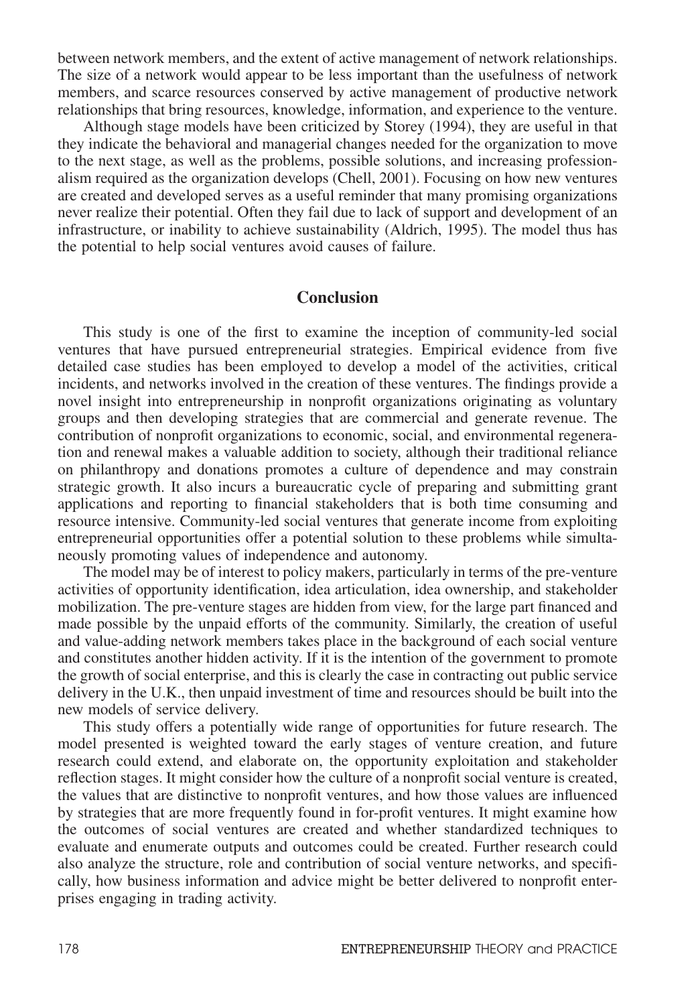between network members, and the extent of active management of network relationships. The size of a network would appear to be less important than the usefulness of network members, and scarce resources conserved by active management of productive network relationships that bring resources, knowledge, information, and experience to the venture.

Although stage models have been criticized by Storey (1994), they are useful in that they indicate the behavioral and managerial changes needed for the organization to move to the next stage, as well as the problems, possible solutions, and increasing professionalism required as the organization develops (Chell, 2001). Focusing on how new ventures are created and developed serves as a useful reminder that many promising organizations never realize their potential. Often they fail due to lack of support and development of an infrastructure, or inability to achieve sustainability (Aldrich, 1995). The model thus has the potential to help social ventures avoid causes of failure.

### **Conclusion**

This study is one of the first to examine the inception of community-led social ventures that have pursued entrepreneurial strategies. Empirical evidence from five detailed case studies has been employed to develop a model of the activities, critical incidents, and networks involved in the creation of these ventures. The findings provide a novel insight into entrepreneurship in nonprofit organizations originating as voluntary groups and then developing strategies that are commercial and generate revenue. The contribution of nonprofit organizations to economic, social, and environmental regeneration and renewal makes a valuable addition to society, although their traditional reliance on philanthropy and donations promotes a culture of dependence and may constrain strategic growth. It also incurs a bureaucratic cycle of preparing and submitting grant applications and reporting to financial stakeholders that is both time consuming and resource intensive. Community-led social ventures that generate income from exploiting entrepreneurial opportunities offer a potential solution to these problems while simultaneously promoting values of independence and autonomy.

The model may be of interest to policy makers, particularly in terms of the pre-venture activities of opportunity identification, idea articulation, idea ownership, and stakeholder mobilization. The pre-venture stages are hidden from view, for the large part financed and made possible by the unpaid efforts of the community. Similarly, the creation of useful and value-adding network members takes place in the background of each social venture and constitutes another hidden activity. If it is the intention of the government to promote the growth of social enterprise, and this is clearly the case in contracting out public service delivery in the U.K., then unpaid investment of time and resources should be built into the new models of service delivery.

This study offers a potentially wide range of opportunities for future research. The model presented is weighted toward the early stages of venture creation, and future research could extend, and elaborate on, the opportunity exploitation and stakeholder reflection stages. It might consider how the culture of a nonprofit social venture is created, the values that are distinctive to nonprofit ventures, and how those values are influenced by strategies that are more frequently found in for-profit ventures. It might examine how the outcomes of social ventures are created and whether standardized techniques to evaluate and enumerate outputs and outcomes could be created. Further research could also analyze the structure, role and contribution of social venture networks, and specifically, how business information and advice might be better delivered to nonprofit enterprises engaging in trading activity.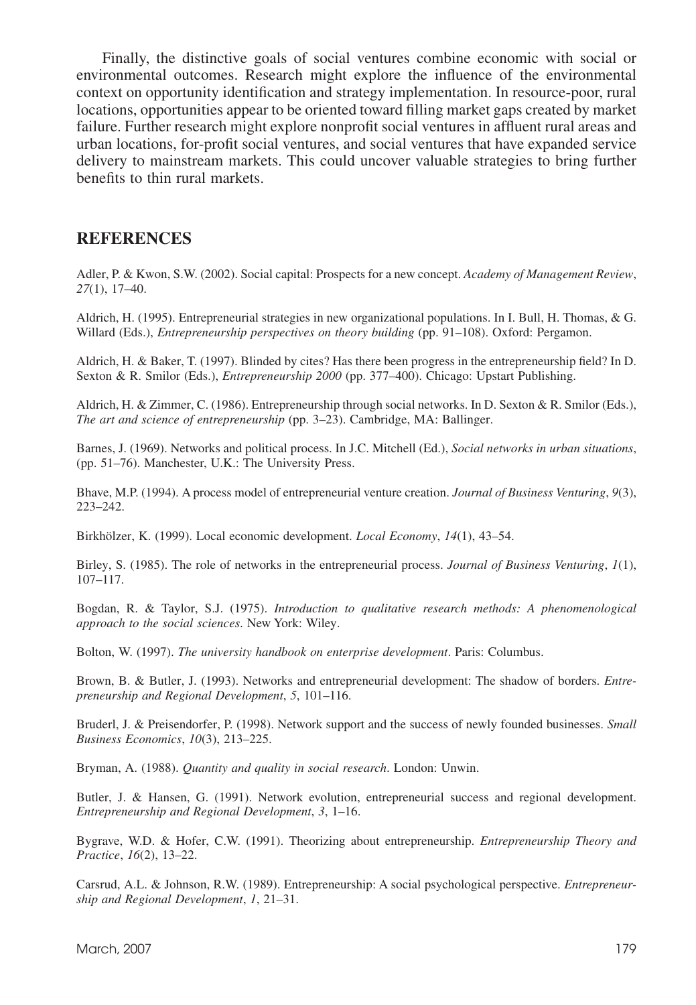Finally, the distinctive goals of social ventures combine economic with social or environmental outcomes. Research might explore the influence of the environmental context on opportunity identification and strategy implementation. In resource-poor, rural locations, opportunities appear to be oriented toward filling market gaps created by market failure. Further research might explore nonprofit social ventures in affluent rural areas and urban locations, for-profit social ventures, and social ventures that have expanded service delivery to mainstream markets. This could uncover valuable strategies to bring further benefits to thin rural markets.

### **REFERENCES**

Adler, P. & Kwon, S.W. (2002). Social capital: Prospects for a new concept. *Academy of Management Review*, *27*(1), 17–40.

Aldrich, H. (1995). Entrepreneurial strategies in new organizational populations. In I. Bull, H. Thomas, & G. Willard (Eds.), *Entrepreneurship perspectives on theory building* (pp. 91–108). Oxford: Pergamon.

Aldrich, H. & Baker, T. (1997). Blinded by cites? Has there been progress in the entrepreneurship field? In D. Sexton & R. Smilor (Eds.), *Entrepreneurship 2000* (pp. 377–400). Chicago: Upstart Publishing.

Aldrich, H. & Zimmer, C. (1986). Entrepreneurship through social networks. In D. Sexton & R. Smilor (Eds.), *The art and science of entrepreneurship* (pp. 3–23). Cambridge, MA: Ballinger.

Barnes, J. (1969). Networks and political process. In J.C. Mitchell (Ed.), *Social networks in urban situations*, (pp. 51–76). Manchester, U.K.: The University Press.

Bhave, M.P. (1994). A process model of entrepreneurial venture creation. *Journal of Business Venturing*, *9*(3), 223–242.

Birkhölzer, K. (1999). Local economic development. *Local Economy*, *14*(1), 43–54.

Birley, S. (1985). The role of networks in the entrepreneurial process. *Journal of Business Venturing*, *1*(1), 107–117.

Bogdan, R. & Taylor, S.J. (1975). *Introduction to qualitative research methods: A phenomenological approach to the social sciences*. New York: Wiley.

Bolton, W. (1997). *The university handbook on enterprise development*. Paris: Columbus.

Brown, B. & Butler, J. (1993). Networks and entrepreneurial development: The shadow of borders. *Entrepreneurship and Regional Development*, *5*, 101–116.

Bruderl, J. & Preisendorfer, P. (1998). Network support and the success of newly founded businesses. *Small Business Economics*, *10*(3), 213–225.

Bryman, A. (1988). *Quantity and quality in social research*. London: Unwin.

Butler, J. & Hansen, G. (1991). Network evolution, entrepreneurial success and regional development. *Entrepreneurship and Regional Development*, *3*, 1–16.

Bygrave, W.D. & Hofer, C.W. (1991). Theorizing about entrepreneurship. *Entrepreneurship Theory and Practice*, *16*(2), 13–22.

Carsrud, A.L. & Johnson, R.W. (1989). Entrepreneurship: A social psychological perspective. *Entrepreneurship and Regional Development*, *1*, 21–31.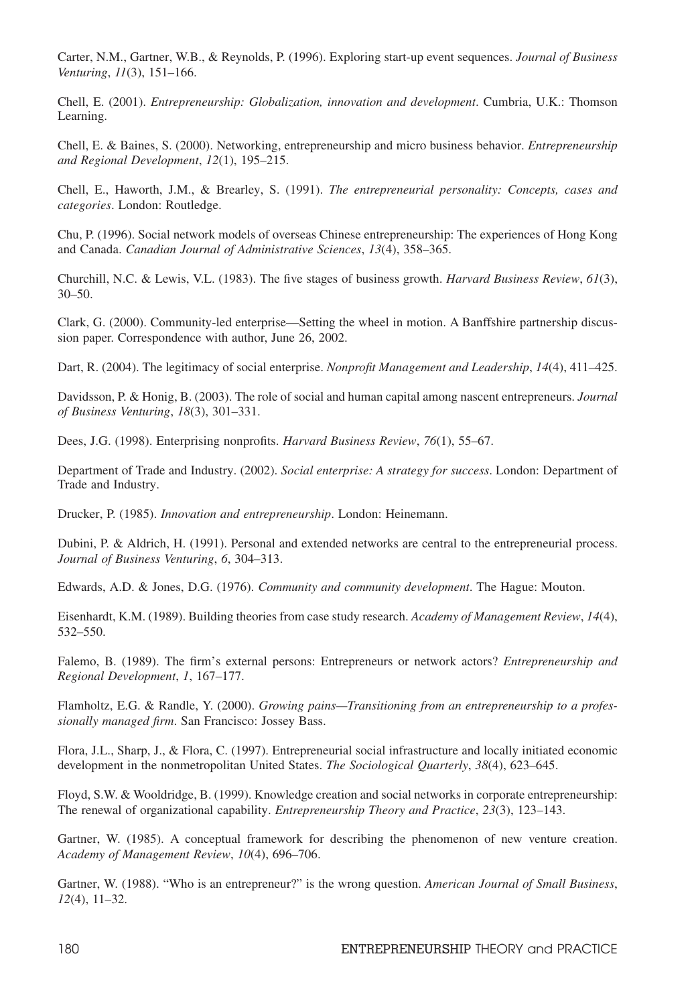Carter, N.M., Gartner, W.B., & Reynolds, P. (1996). Exploring start-up event sequences. *Journal of Business Venturing*, *11*(3), 151–166.

Chell, E. (2001). *Entrepreneurship: Globalization, innovation and development*. Cumbria, U.K.: Thomson Learning.

Chell, E. & Baines, S. (2000). Networking, entrepreneurship and micro business behavior. *Entrepreneurship and Regional Development*, *12*(1), 195–215.

Chell, E., Haworth, J.M., & Brearley, S. (1991). *The entrepreneurial personality: Concepts, cases and categories*. London: Routledge.

Chu, P. (1996). Social network models of overseas Chinese entrepreneurship: The experiences of Hong Kong and Canada. *Canadian Journal of Administrative Sciences*, *13*(4), 358–365.

Churchill, N.C. & Lewis, V.L. (1983). The five stages of business growth. *Harvard Business Review*, *61*(3), 30–50.

Clark, G. (2000). Community-led enterprise—Setting the wheel in motion. A Banffshire partnership discussion paper. Correspondence with author, June 26, 2002.

Dart, R. (2004). The legitimacy of social enterprise. *Nonprofit Management and Leadership*, *14*(4), 411–425.

Davidsson, P. & Honig, B. (2003). The role of social and human capital among nascent entrepreneurs. *Journal of Business Venturing*, *18*(3), 301–331.

Dees, J.G. (1998). Enterprising nonprofits. *Harvard Business Review*, *76*(1), 55–67.

Department of Trade and Industry. (2002). *Social enterprise: A strategy for success*. London: Department of Trade and Industry.

Drucker, P. (1985). *Innovation and entrepreneurship*. London: Heinemann.

Dubini, P. & Aldrich, H. (1991). Personal and extended networks are central to the entrepreneurial process. *Journal of Business Venturing*, *6*, 304–313.

Edwards, A.D. & Jones, D.G. (1976). *Community and community development*. The Hague: Mouton.

Eisenhardt, K.M. (1989). Building theories from case study research. *Academy of Management Review*, *14*(4), 532–550.

Falemo, B. (1989). The firm's external persons: Entrepreneurs or network actors? *Entrepreneurship and Regional Development*, *1*, 167–177.

Flamholtz, E.G. & Randle, Y. (2000). *Growing pains—Transitioning from an entrepreneurship to a professionally managed firm*. San Francisco: Jossey Bass.

Flora, J.L., Sharp, J., & Flora, C. (1997). Entrepreneurial social infrastructure and locally initiated economic development in the nonmetropolitan United States. *The Sociological Quarterly*, *38*(4), 623–645.

Floyd, S.W. & Wooldridge, B. (1999). Knowledge creation and social networks in corporate entrepreneurship: The renewal of organizational capability. *Entrepreneurship Theory and Practice*, *23*(3), 123–143.

Gartner, W. (1985). A conceptual framework for describing the phenomenon of new venture creation. *Academy of Management Review*, *10*(4), 696–706.

Gartner, W. (1988). "Who is an entrepreneur?" is the wrong question. *American Journal of Small Business*, *12*(4), 11–32.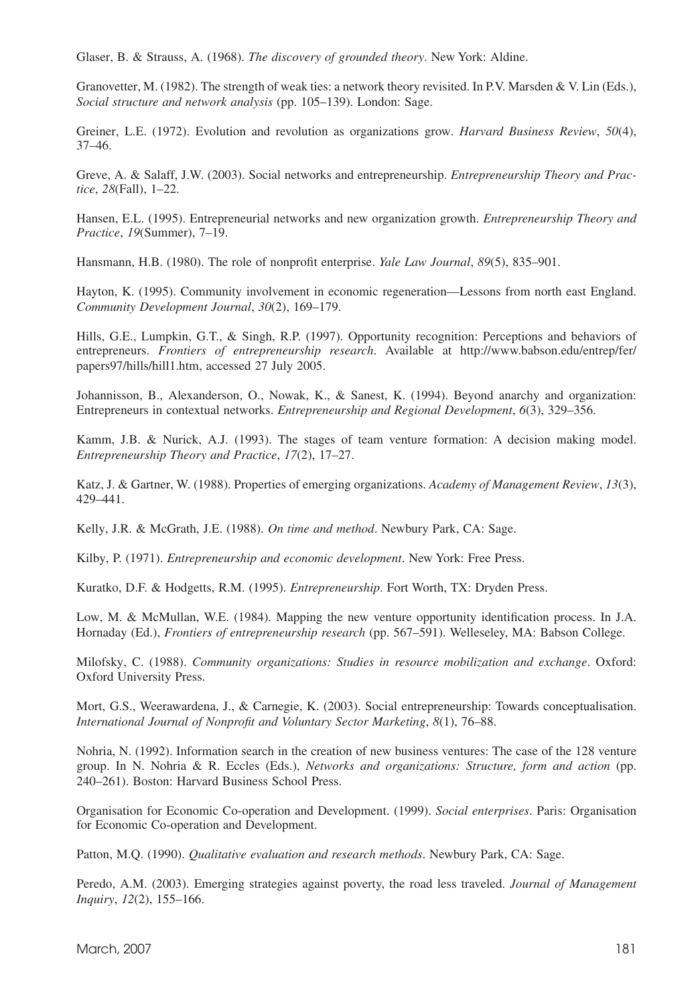Glaser, B. & Strauss, A. (1968). *The discovery of grounded theory*. New York: Aldine.

Granovetter, M. (1982). The strength of weak ties: a network theory revisited. In P.V. Marsden & V. Lin (Eds.), *Social structure and network analysis* (pp. 105–139). London: Sage.

Greiner, L.E. (1972). Evolution and revolution as organizations grow. *Harvard Business Review*, *50*(4), 37–46.

Greve, A. & Salaff, J.W. (2003). Social networks and entrepreneurship. *Entrepreneurship Theory and Practice*, *28*(Fall), 1–22.

Hansen, E.L. (1995). Entrepreneurial networks and new organization growth. *Entrepreneurship Theory and Practice*, *19*(Summer), 7–19.

Hansmann, H.B. (1980). The role of nonprofit enterprise. *Yale Law Journal*, *89*(5), 835–901.

Hayton, K. (1995). Community involvement in economic regeneration—Lessons from north east England. *Community Development Journal*, *30*(2), 169–179.

Hills, G.E., Lumpkin, G.T., & Singh, R.P. (1997). Opportunity recognition: Perceptions and behaviors of entrepreneurs. *Frontiers of entrepreneurship research*. Available at [http://www.babson.edu/entrep/fer/](http://www.babson.edu/entrep/fer) papers97/hills/hill1.htm, accessed 27 July 2005.

Johannisson, B., Alexanderson, O., Nowak, K., & Sanest, K. (1994). Beyond anarchy and organization: Entrepreneurs in contextual networks. *Entrepreneurship and Regional Development*, *6*(3), 329–356.

Kamm, J.B. & Nurick, A.J. (1993). The stages of team venture formation: A decision making model. *Entrepreneurship Theory and Practice*, *17*(2), 17–27.

Katz, J. & Gartner, W. (1988). Properties of emerging organizations. *Academy of Management Review*, *13*(3), 429–441.

Kelly, J.R. & McGrath, J.E. (1988). *On time and method*. Newbury Park, CA: Sage.

Kilby, P. (1971). *Entrepreneurship and economic development*. New York: Free Press.

Kuratko, D.F. & Hodgetts, R.M. (1995). *Entrepreneurship*. Fort Worth, TX: Dryden Press.

Low, M. & McMullan, W.E. (1984). Mapping the new venture opportunity identification process. In J.A. Hornaday (Ed.), *Frontiers of entrepreneurship research* (pp. 567–591). Welleseley, MA: Babson College.

Milofsky, C. (1988). *Community organizations: Studies in resource mobilization and exchange*. Oxford: Oxford University Press.

Mort, G.S., Weerawardena, J., & Carnegie, K. (2003). Social entrepreneurship: Towards conceptualisation. *International Journal of Nonprofit and Voluntary Sector Marketing*, *8*(1), 76–88.

Nohria, N. (1992). Information search in the creation of new business ventures: The case of the 128 venture group. In N. Nohria & R. Eccles (Eds.), *Networks and organizations: Structure, form and action* (pp. 240–261). Boston: Harvard Business School Press.

Organisation for Economic Co-operation and Development. (1999). *Social enterprises*. Paris: Organisation for Economic Co-operation and Development.

Patton, M.Q. (1990). *Qualitative evaluation and research methods*. Newbury Park, CA: Sage.

Peredo, A.M. (2003). Emerging strategies against poverty, the road less traveled. *Journal of Management Inquiry*, *12*(2), 155–166.